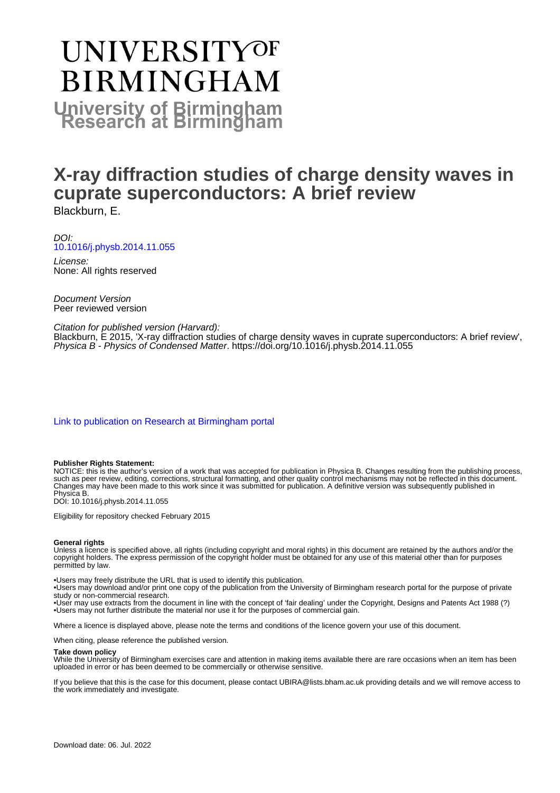# UNIVERSITYOF **BIRMINGHAM University of Birmingham**

# **X-ray diffraction studies of charge density waves in cuprate superconductors: A brief review** Blackburn, E.

DOI: [10.1016/j.physb.2014.11.055](https://doi.org/10.1016/j.physb.2014.11.055)

License: None: All rights reserved

Document Version Peer reviewed version

#### Citation for published version (Harvard):

Blackburn, E 2015, 'X-ray diffraction studies of charge density waves in cuprate superconductors: A brief review', Physica B - Physics of Condensed Matter. <https://doi.org/10.1016/j.physb.2014.11.055>

[Link to publication on Research at Birmingham portal](https://birmingham.elsevierpure.com/en/publications/49adbcf7-7814-4b97-8a05-356214a4160d)

#### **Publisher Rights Statement:**

NOTICE: this is the author's version of a work that was accepted for publication in Physica B. Changes resulting from the publishing process, such as peer review, editing, corrections, structural formatting, and other quality control mechanisms may not be reflected in this document. Changes may have been made to this work since it was submitted for publication. A definitive version was subsequently published in Physica B.

DOI: 10.1016/j.physb.2014.11.055

Eligibility for repository checked February 2015

#### **General rights**

Unless a licence is specified above, all rights (including copyright and moral rights) in this document are retained by the authors and/or the copyright holders. The express permission of the copyright holder must be obtained for any use of this material other than for purposes permitted by law.

• Users may freely distribute the URL that is used to identify this publication.

• Users may download and/or print one copy of the publication from the University of Birmingham research portal for the purpose of private study or non-commercial research.

• User may use extracts from the document in line with the concept of 'fair dealing' under the Copyright, Designs and Patents Act 1988 (?) • Users may not further distribute the material nor use it for the purposes of commercial gain.

Where a licence is displayed above, please note the terms and conditions of the licence govern your use of this document.

When citing, please reference the published version.

#### **Take down policy**

While the University of Birmingham exercises care and attention in making items available there are rare occasions when an item has been uploaded in error or has been deemed to be commercially or otherwise sensitive.

If you believe that this is the case for this document, please contact UBIRA@lists.bham.ac.uk providing details and we will remove access to the work immediately and investigate.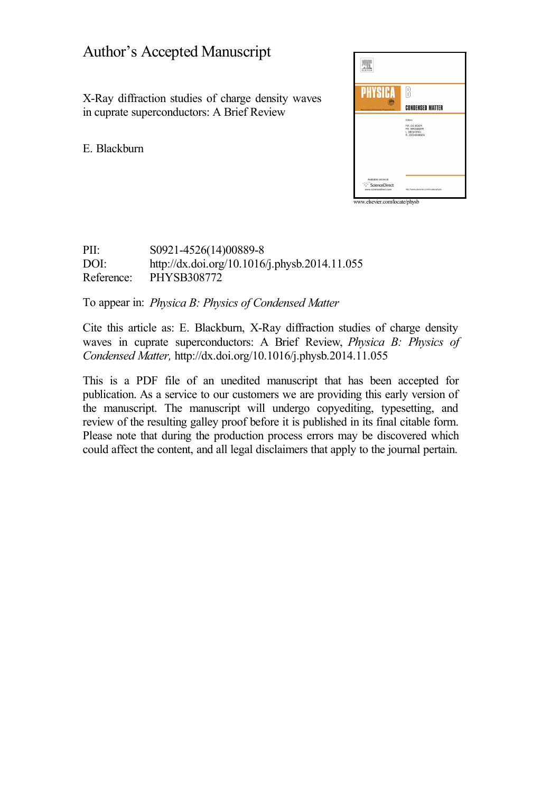## Author's Accepted Manuscript

X-Ray diffraction studies of charge density waves in cuprate superconductors: A Brief Review

E. Blackburn



PII: S0921-4526(14)00889-8<br>DOI: http://dx.doi.org/10.1016 <http://dx.doi.org/10.1016/j.physb.2014.11.055> Reference: PHYSB308772

To appear in: *Physica B: Physics of Condensed Matter*

Cite this article as: E. Blackburn, X-Ray diffraction studies of charge density waves in cuprate superconductors: A Brief Review, *Physica B: Physics of Condensed Matter,* <http://dx.doi.org/10.1016/j.physb.2014.11.055>

This is a PDF file of an unedited manuscript that has been accepted for publication. As a service to our customers we are providing this early version of the manuscript. The manuscript will undergo copyediting, typesetting, and review of the resulting galley proof before it is published in its final citable form. Please note that during the production process errors may be discovered which could affect the content, and all legal disclaimers that apply to the journal pertain.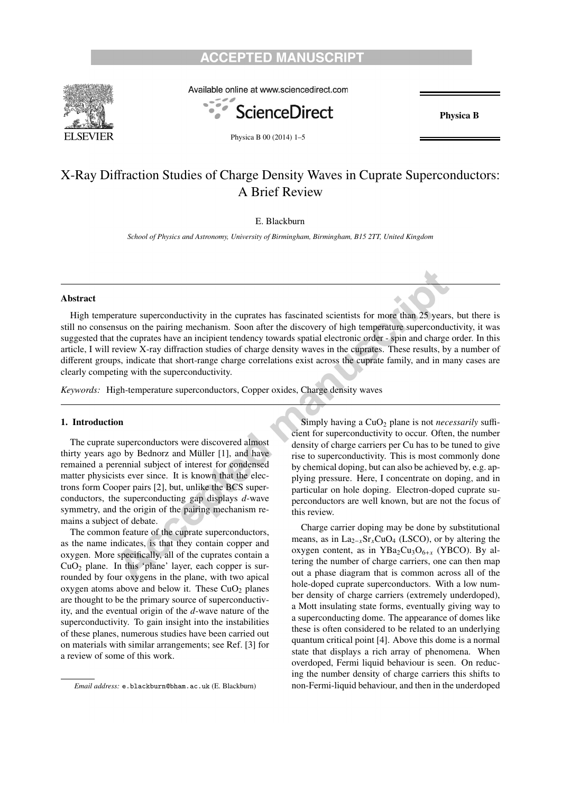### **ACCEPTED MANUSCR**



Available online at www.sciencedirect.com



Physica B 00 (2014) 1–5

Physica B

## X-Ray Diffraction Studies of Charge Density Waves in Cuprate Superconductors: A Brief Review

#### E. Blackburn

*School of Physics and Astronomy, University of Birmingham, Birmingham, B15 2TT, United Kingdom*

#### Abstract

High temperature superconductivity in the cuprates has fascinated scientists for more than 25 years, but there is still no consensus on the pairing mechanism. Soon after the discovery of high temperature superconductivity, it was suggested that the cuprates have an incipient tendency towards spatial electronic order - spin and charge order. In this article, I will review X-ray diffraction studies of charge density waves in the cuprates. These results, by a number of different groups, indicate that short-range charge correlations exist across the cuprate family, and in many cases are clearly competing with the superconductivity.

*Keywords:* High-temperature superconductors, Copper oxides, Charge density waves

#### 1. Introduction

The cuprate superconductors were discovered almost thirty years ago by Bednorz and Müller  $[1]$ , and have remained a perennial subject of interest for condensed matter physicists ever since. It is known that the electrons form Cooper pairs [2], but, unlike the BCS superconductors, the superconducting gap displays *d*-wave symmetry, and the origin of the pairing mechanism remains a subject of debate.

The common feature of the cuprate superconductors, as the name indicates, is that they contain copper and oxygen. More specifically, all of the cuprates contain a  $CuO<sub>2</sub>$  plane. In this 'plane' layer, each copper is surrounded by four oxygens in the plane, with two apical oxygen atoms above and below it. These  $CuO<sub>2</sub>$  planes are thought to be the primary source of superconductivity, and the eventual origin of the *d*-wave nature of the superconductivity. To gain insight into the instabilities of these planes, numerous studies have been carried out on materials with similar arrangements; see Ref. [3] for a review of some of this work.

Simply having a CuO<sub>2</sub> plane is not *necessarily* sufficient for superconductivity to occur. Often, the number density of charge carriers per Cu has to be tuned to give rise to superconductivity. This is most commonly done by chemical doping, but can also be achieved by, e.g. applying pressure. Here, I concentrate on doping, and in particular on hole doping. Electron-doped cuprate superconductors are well known, but are not the focus of this review.

Charge carrier doping may be done by substitutional means, as in La<sub>2−*x*</sub>Sr<sub>*x*</sub>CuO<sub>4</sub> (LSCO), or by altering the oxygen content, as in YBa<sub>2</sub>Cu<sub>3</sub>O<sub>6+x</sub> (YBCO). By altering the number of charge carriers, one can then map out a phase diagram that is common across all of the hole-doped cuprate superconductors. With a low number density of charge carriers (extremely underdoped), a Mott insulating state forms, eventually giving way to a superconducting dome. The appearance of domes like these is often considered to be related to an underlying quantum critical point [4]. Above this dome is a normal state that displays a rich array of phenomena. When overdoped, Fermi liquid behaviour is seen. On reducing the number density of charge carriers this shifts to non-Fermi-liquid behaviour, and then in the underdoped

*Email address:* e.blackburn@bham.ac.uk (E. Blackburn)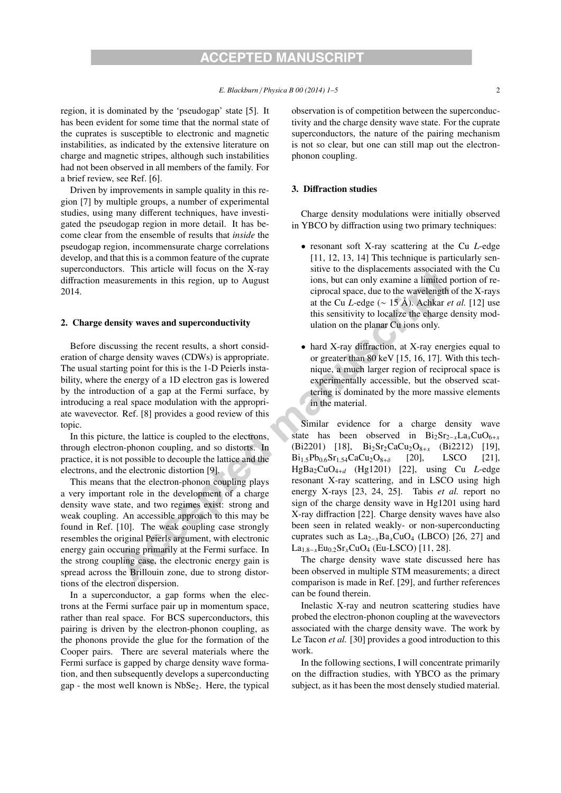region, it is dominated by the 'pseudogap' state [5]. It has been evident for some time that the normal state of the cuprates is susceptible to electronic and magnetic instabilities, as indicated by the extensive literature on charge and magnetic stripes, although such instabilities had not been observed in all members of the family. For a brief review, see Ref. [6].

Driven by improvements in sample quality in this region [7] by multiple groups, a number of experimental studies, using many different techniques, have investigated the pseudogap region in more detail. It has become clear from the ensemble of results that *inside* the pseudogap region, incommensurate charge correlations develop, and that this is a common feature of the cuprate superconductors. This article will focus on the X-ray diffraction measurements in this region, up to August 2014.

#### 2. Charge density waves and superconductivity

Before discussing the recent results, a short consideration of charge density waves (CDWs) is appropriate. The usual starting point for this is the 1-D Peierls instability, where the energy of a 1D electron gas is lowered by the introduction of a gap at the Fermi surface, by introducing a real space modulation with the appropriate wavevector. Ref. [8] provides a good review of this topic.

In this picture, the lattice is coupled to the electrons, through electron-phonon coupling, and so distorts. In practice, it is not possible to decouple the lattice and the electrons, and the electronic distortion [9].

This means that the electron-phonon coupling plays a very important role in the development of a charge density wave state, and two regimes exist: strong and weak coupling. An accessible approach to this may be found in Ref. [10]. The weak coupling case strongly resembles the original Peierls argument, with electronic energy gain occuring primarily at the Fermi surface. In the strong coupling case, the electronic energy gain is spread across the Brillouin zone, due to strong distortions of the electron dispersion.

In a superconductor, a gap forms when the electrons at the Fermi surface pair up in momentum space, rather than real space. For BCS superconductors, this pairing is driven by the electron-phonon coupling, as the phonons provide the glue for the formation of the Cooper pairs. There are several materials where the Fermi surface is gapped by charge density wave formation, and then subsequently develops a superconducting gap - the most well known is  $NbSe<sub>2</sub>$ . Here, the typical observation is of competition between the superconductivity and the charge density wave state. For the cuprate superconductors, the nature of the pairing mechanism is not so clear, but one can still map out the electronphonon coupling.

#### 3. Diffraction studies

Charge density modulations were initially observed in YBCO by diffraction using two primary techniques:

- resonant soft X-ray scattering at the Cu *L*-edge [11, 12, 13, 14] This technique is particularly sensitive to the displacements associated with the Cu ions, but can only examine a limited portion of reciprocal space, due to the wavelength of the X-rays at the Cu *L*-edge (∼ 15 Å). Achkar *et al.* [12] use this sensitivity to localize the charge density modulation on the planar Cu ions only.
- hard X-ray diffraction, at X-ray energies equal to or greater than 80 keV [15, 16, 17]. With this technique, a much larger region of reciprocal space is experimentally accessible, but the observed scattering is dominated by the more massive elements in the material.

Similar evidence for a charge density wave state has been observed in  $Bi_2Sr_{2-x}La_xCuO_{6+x}$ (Bi2201) [18], Bi<sub>2</sub>Sr<sub>2</sub>CaCu<sub>2</sub>O<sub>8+x</sub> (Bi2212) [19],  $Bi_{1.5}Pb_{0.6}Sr_{1.54}CaCu_{2}O_{8+\delta}$  [20], LSCO [21], HgBa2CuO4+*<sup>d</sup>* (Hg1201) [22], using Cu *L*-edge resonant X-ray scattering, and in LSCO using high energy X-rays [23, 24, 25]. Tabis *et al.* report no sign of the charge density wave in Hg1201 using hard X-ray diffraction [22]. Charge density waves have also been seen in related weakly- or non-superconducting cuprates such as La2−*<sup>x</sup>*Ba*x*CuO4 (LBCO) [26, 27] and La1.8−*<sup>x</sup>*Eu0.2Sr*x*CuO4 (Eu-LSCO) [11, 28].

The charge density wave state discussed here has been observed in multiple STM measurements; a direct comparison is made in Ref. [29], and further references can be found therein.

Inelastic X-ray and neutron scattering studies have probed the electron-phonon coupling at the wavevectors associated with the charge density wave. The work by Le Tacon *et al.* [30] provides a good introduction to this work.

In the following sections, I will concentrate primarily on the diffraction studies, with YBCO as the primary subject, as it has been the most densely studied material.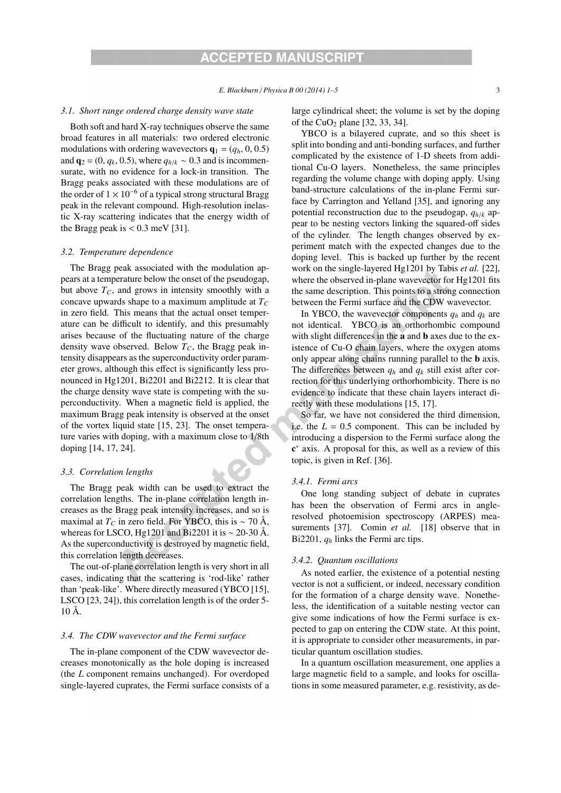#### *3.1. Short range ordered charge density wave state*

Both soft and hard X-ray techniques observe the same broad features in all materials: two ordered electronic modulations with ordering wavevectors  $\mathbf{q}_1 = (q_h, 0, 0.5)$ and  $\mathbf{q}_2 = (0, q_k, 0.5)$ , where  $q_{h/k} \sim 0.3$  and is incommensurate, with no evidence for a lock-in transition. The Bragg peaks associated with these modulations are of the order of  $1 \times 10^{-6}$  of a typical strong structural Bragg peak in the relevant compound. High-resolution inelastic X-ray scattering indicates that the energy width of the Bragg peak is  $< 0.3$  meV [31].

#### *3.2. Temperature dependence*

The Bragg peak associated with the modulation appears at a temperature below the onset of the pseudogap, but above  $T_c$ , and grows in intensity smoothly with a concave upwards shape to a maximum amplitude at  $T_c$ in zero field. This means that the actual onset temperature can be difficult to identify, and this presumably arises because of the fluctuating nature of the charge density wave observed. Below  $T_c$ , the Bragg peak intensity disappears as the superconductivity order parameter grows, although this effect is significantly less pronounced in Hg1201, Bi2201 and Bi2212. It is clear that the charge density wave state is competing with the superconductivity. When a magnetic field is applied, the maximum Bragg peak intensity is observed at the onset of the vortex liquid state [15, 23]. The onset temperature varies with doping, with a maximum close to 1/8th doping [14, 17, 24].

#### *3.3. Correlation lengths*

The Bragg peak width can be used to extract the correlation lengths. The in-plane correlation length increases as the Bragg peak intensity increases, and so is maximal at  $T_C$  in zero field. For YBCO, this is ~ 70 Å, whereas for LSCO, Hg1201 and Bi2201 it is ∼ 20-30 Å. As the superconductivity is destroyed by magnetic field, this correlation length decreases.

The out-of-plane correlation length is very short in all cases, indicating that the scattering is 'rod-like' rather than 'peak-like'. Where directly measured (YBCO [15], LSCO [23, 24]), this correlation length is of the order 5- 10 Å.

#### *3.4. The CDW wavevector and the Fermi surface*

The in-plane component of the CDW wavevector decreases monotonically as the hole doping is increased (the *L* component remains unchanged). For overdoped single-layered cuprates, the Fermi surface consists of a large cylindrical sheet; the volume is set by the doping of the CuO<sub>2</sub> plane  $[32, 33, 34]$ .

YBCO is a bilayered cuprate, and so this sheet is split into bonding and anti-bonding surfaces, and further complicated by the existence of 1-D sheets from additional Cu-O layers. Nonetheless, the same principles regarding the volume change with doping apply. Using band-structure calculations of the in-plane Fermi surface by Carrington and Yelland [35], and ignoring any potential reconstruction due to the pseudogap, *qh*/*<sup>k</sup>* appear to be nesting vectors linking the squared-off sides of the cylinder. The length changes observed by experiment match with the expected changes due to the doping level. This is backed up further by the recent work on the single-layered Hg1201 by Tabis *et al.* [22], where the observed in-plane wavevector for Hg1201 fits the same description. This points to a strong connection between the Fermi surface and the CDW wavevector.

In YBCO, the wavevector components  $q_h$  and  $q_k$  are not identical. YBCO is an orthorhombic compound with slight differences in the a and b axes due to the existence of Cu-O chain layers, where the oxygen atoms only appear along chains running parallel to the b axis. The differences between  $q_h$  and  $q_k$  still exist after correction for this underlying orthorhombicity. There is no evidence to indicate that these chain layers interact directly with these modulations [15, 17].

So far, we have not considered the third dimension, i.e. the  $L = 0.5$  component. This can be included by introducing a dispersion to the Fermi surface along the c<sup>∗</sup> axis. A proposal for this, as well as a review of this topic, is given in Ref. [36].

#### *3.4.1. Fermi arcs*

One long standing subject of debate in cuprates has been the observation of Fermi arcs in angleresolved photoemision spectroscopy (ARPES) measurements [37]. Comin *et al.* [18] observe that in Bi2201, *qh* links the Fermi arc tips.

#### *3.4.2. Quantum oscillations*

As noted earlier, the existence of a potential nesting vector is not a sufficient, or indeed, necessary condition for the formation of a charge density wave. Nonetheless, the identification of a suitable nesting vector can give some indications of how the Fermi surface is expected to gap on entering the CDW state. At this point, it is appropriate to consider other measurements, in particular quantum oscillation studies.

In a quantum oscillation measurement, one applies a large magnetic field to a sample, and looks for oscillations in some measured parameter, e.g. resistivity, as de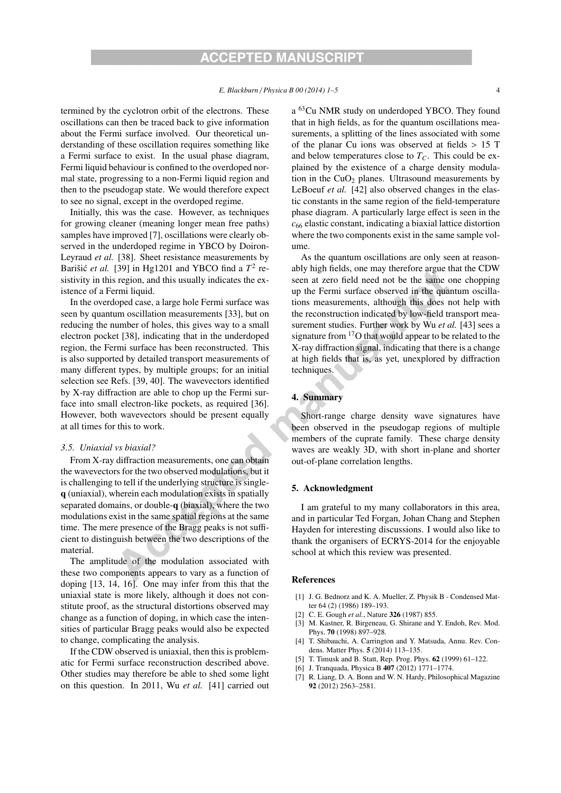termined by the cyclotron orbit of the electrons. These oscillations can then be traced back to give information about the Fermi surface involved. Our theoretical understanding of these oscillation requires something like a Fermi surface to exist. In the usual phase diagram, Fermi liquid behaviour is confined to the overdoped normal state, progressing to a non-Fermi liquid region and then to the pseudogap state. We would therefore expect to see no signal, except in the overdoped regime.

Initially, this was the case. However, as techniques for growing cleaner (meaning longer mean free paths) samples have improved [7], oscillations were clearly observed in the underdoped regime in YBCO by Doiron-Leyraud *et al.* [38]. Sheet resistance measurements by Barišić *et al.* [39] in Hg1201 and YBCO find a  $T^2$  resistivity in this region, and this usually indicates the existence of a Fermi liquid.

In the overdoped case, a large hole Fermi surface was seen by quantum oscillation measurements [33], but on reducing the number of holes, this gives way to a small electron pocket [38], indicating that in the underdoped region, the Fermi surface has been reconstructed. This is also supported by detailed transport measurements of many different types, by multiple groups; for an initial selection see Refs. [39, 40]. The wavevectors identified by X-ray diffraction are able to chop up the Fermi surface into small electron-like pockets, as required [36]. However, both wavevectors should be present equally at all times for this to work.

#### *3.5. Uniaxial vs biaxial?*

From X-ray diffraction measurements, one can obtain the wavevectors for the two observed modulations, but it is challenging to tell if the underlying structure is singleq (uniaxial), wherein each modulation exists in spatially separated domains, or double-q (biaxial), where the two modulations exist in the same spatial regions at the same time. The mere presence of the Bragg peaks is not sufficient to distinguish between the two descriptions of the material.

The amplitude of the modulation associated with these two components appears to vary as a function of doping [13, 14, 16]. One may infer from this that the uniaxial state is more likely, although it does not constitute proof, as the structural distortions observed may change as a function of doping, in which case the intensities of particular Bragg peaks would also be expected to change, complicating the analysis.

If the CDW observed is uniaxial, then this is problematic for Fermi surface reconstruction described above. Other studies may therefore be able to shed some light on this question. In 2011, Wu *et al.* [41] carried out a <sup>63</sup>Cu NMR study on underdoped YBCO. They found that in high fields, as for the quantum oscillations measurements, a splitting of the lines associated with some of the planar Cu ions was observed at fields  $> 15$  T and below temperatures close to  $T_c$ . This could be explained by the existence of a charge density modulation in the  $CuO<sub>2</sub>$  planes. Ultrasound measurements by LeBoeuf *et al.* [42] also observed changes in the elastic constants in the same region of the field-temperature phase diagram. A particularly large effect is seen in the  $c_{66}$  elastic constant, indicating a biaxial lattice distortion where the two components exist in the same sample volume.

As the quantum oscillations are only seen at reasonably high fields, one may therefore argue that the CDW seen at zero field need not be the same one chopping up the Fermi surface observed in the quantum oscillations measurements, although this does not help with the reconstruction indicated by low-field transport measurement studies. Further work by Wu *et al.* [43] sees a signature from  $17O$  that would appear to be related to the X-ray diffraction signal, indicating that there is a change at high fields that is, as yet, unexplored by diffraction techniques.

#### 4. Summary

Short-range charge density wave signatures have been observed in the pseudogap regions of multiple members of the cuprate family. These charge density waves are weakly 3D, with short in-plane and shorter out-of-plane correlation lengths.

#### 5. Acknowledgment

I am grateful to my many collaborators in this area, and in particular Ted Forgan, Johan Chang and Stephen Hayden for interesting discussions. I would also like to thank the organisers of ECRYS-2014 for the enjoyable school at which this review was presented.

#### **References**

- [1] J. G. Bednorz and K. A. Mueller, Z. Physik B Condensed Matter 64 (2) (1986) 189–193.
- [2] C. E. Gough *et al.*, Nature 326 (1987) 855.
- M. Kastner, R. Birgeneau, G. Shirane and Y. Endoh, Rev. Mod. Phys. 70 (1998) 897–928.
- T. Shibauchi, A. Carrington and Y. Matsuda, Annu. Rev. Condens. Matter Phys. 5 (2014) 113–135.
- [5] T. Timusk and B. Statt, Rep. Prog. Phys. **62** (1999) 61–122.
- [6] J. Tranquada, Physica B 407 (2012) 1771–1774.
- [7] R. Liang, D. A. Bonn and W. N. Hardy, Philosophical Magazine 92 (2012) 2563–2581.